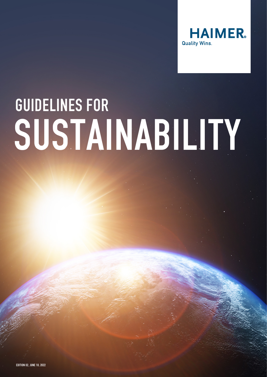

# SUSTAINABILITY GUIDELINES FOR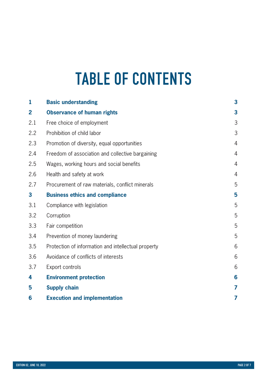# TABLE OF CONTENTS

| 1                       | <b>Basic understanding</b>                          | 3              |
|-------------------------|-----------------------------------------------------|----------------|
| $\overline{2}$          | <b>Observance of human rights</b>                   | 3              |
| 2.1                     | Free choice of employment                           | 3              |
| 2.2                     | Prohibition of child labor                          | 3              |
| 2.3                     | Promotion of diversity, equal opportunities         | $\overline{4}$ |
| 2.4                     | Freedom of association and collective bargaining    | $\overline{4}$ |
| 2.5                     | Wages, working hours and social benefits            | $\overline{4}$ |
| 2.6                     | Health and safety at work                           | 4              |
| 2.7                     | Procurement of raw materials, conflict minerals     | 5              |
| $\overline{\mathbf{3}}$ | <b>Business ethics and compliance</b>               | 5              |
| 3.1                     | Compliance with legislation                         | 5              |
| 3.2                     | Corruption                                          | 5              |
| 3.3                     | Fair competition                                    | 5              |
| 3.4                     | Prevention of money laundering                      | 5              |
| 3.5                     | Protection of information and intellectual property | 6              |
| 3.6                     | Avoidance of conflicts of interests                 | 6              |
| 3.7                     | Export controls                                     | 6              |
| 4                       | <b>Environment protection</b>                       | 6              |
| 5                       | <b>Supply chain</b>                                 | 7              |
| 6                       | <b>Execution and implementation</b>                 | 7              |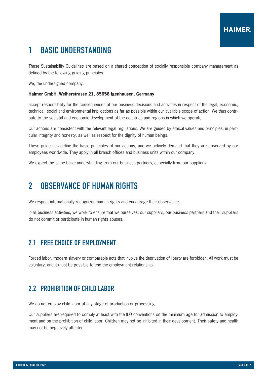# 1 BASIC UNDERSTANDING

These Sustainability Guidelines are based on a shared conception of socially responsible company management as defined by the following guiding principles.

We, the undersigned company,

#### **Haimer GmbH, Weiherstrasse 21, 85658 Igenhausen, Germany**

accept responsibility for the consequences of our business decisions and activities in respect of the legal, economic, technical, social and environmental implications as far as possible within our available scope of action. We thus contribute to the societal and economic development of the countries and regions in which we operate.

Our actions are consistent with the relevant legal regulations. We are guided by ethical values and principles, in particular integrity and honesty, as well as respect for the dignity of human beings.

These guidelines define the basic principles of our actions, and we actively demand that they are observed by our employees worldwide. They apply in all branch offices and business units within our company.

We expect the same basic understanding from our business partners, especially from our suppliers.

### 2 OBSERVANCE OF HUMAN RIGHTS

We respect internationally recognized human rights and encourage their observance.

In all business activities, we work to ensure that we ourselves, our suppliers, our business partners and their suppliers do not commit or participate in human rights abuses.

#### 2.1 FRFF CHOICF OF EMPLOYMENT

Forced labor, modern slavery or comparable acts that involve the deprivation of liberty are forbidden. All work must be voluntary, and it must be possible to end the employment relationship.

#### 2.2 PROHIBITION OF CHILD LABOR

We do not employ child labor at any stage of production or processing.

Our suppliers are required to comply at least with the ILO conventions on the minimum age for admission to employment and on the prohibition of child labor. Children may not be inhibited in their development. Their safety and health may not be negatively affected.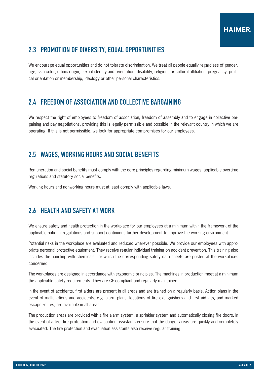#### 2.3 PROMOTION OF DIVERSITY, EQUAL OPPORTUNITIES

We encourage equal opportunities and do not tolerate discrimination. We treat all people equally regardless of gender, age, skin color, ethnic origin, sexual identity and orientation, disability, religious or cultural affiliation, pregnancy, political orientation or membership, ideology or other personal characteristics.

#### 2.4 FREEDOM OF ASSOCIATION AND COLLECTIVE BARGAINING

We respect the right of employees to freedom of association, freedom of assembly and to engage in collective bargaining and pay negotiations, providing this is legally permissible and possible in the relevant country in which we are operating. If this is not permissible, we look for appropriate compromises for our employees.

#### 2.5 WAGES, WORKING HOURS AND SOCIAL BENEFITS

Remuneration and social benefits must comply with the core principles regarding minimum wages, applicable overtime regulations and statutory social benefits.

Working hours and nonworking hours must at least comply with applicable laws.

#### 2.6 HEALTH AND SAFETY AT WORK

We ensure safety and health protection in the workplace for our employees at a minimum within the framework of the applicable national regulations and support continuous further development to improve the working environment.

Potential risks in the workplace are evaluated and reduced wherever possible. We provide our employees with appropriate personal protective equipment. They receive regular individual training on accident prevention. This training also includes the handling with chemicals, for which the corresponding safety data sheets are posted at the workplaces concerned.

The workplaces are designed in accordance with ergonomic principles. The machines in production meet at a minimum the applicable safety requirements. They are CE-compliant and regularly maintained.

In the event of accidents, first aiders are present in all areas and are trained on a regularly basis. Action plans in the event of malfunctions and accidents, e.g. alarm plans, locations of fire extinguishers and first aid kits, and marked escape routes, are available in all areas.

The production areas are provided with a fire alarm system, a sprinkler system and automatically closing fire doors. In the event of a fire, fire protection and evacuation assistants ensure that the danger areas are quickly and completely evacuated. The fire protection and evacuation assistants also receive regular training.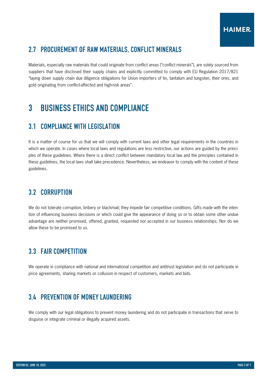#### 2.7 PROCUREMENT OF RAW MATERIALS, CONFLICT MINERALS

Materials, especially raw materials that could originate from conflict areas ("conflict minerals"), are solely sourced from suppliers that have disclosed their supply chains and explicitly committed to comply with EU Regulation 2017/821 "laying down supply chain due diligence obligations for Union importers of tin, tantalum and tungsten, their ores, and gold originating from conflict-affected and high-risk areas".

# 3 BUSINESS ETHICS AND COMPLIANCE

#### 3.1 COMPLIANCE WITH LEGISLATION

It is a matter of course for us that we will comply with current laws and other legal requirements in the countries in which we operate. In cases where local laws and regulations are less restrictive, our actions are guided by the principles of these guidelines. Where there is a direct conflict between mandatory local law and the principles contained in these guidelines, the local laws shall take precedence. Nevertheless, we endeavor to comply with the content of these guidelines.

#### 3.2 CORRUPTION

We do not tolerate corruption, bribery or blackmail; they impede fair competitive conditions. Gifts made with the intention of influencing business decisions or which could give the appearance of doing so or to obtain some other undue advantage are neither promised, offered, granted, requested nor accepted in our business relationships. Nor do we allow these to be promised to us.

#### 3.3 FAIR COMPETITION

We operate in compliance with national and international competition and antitrust legislation and do not participate in price agreements, sharing markets or collusion in respect of customers, markets and bids.

#### 3.4 PREVENTION OF MONEY LAUNDERING

We comply with our legal obligations to prevent money laundering and do not participate in transactions that serve to disguise or integrate criminal or illegally acquired assets.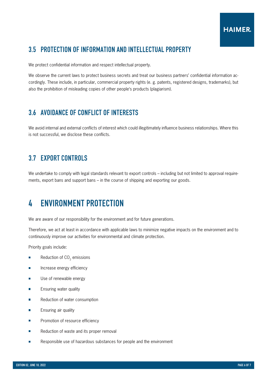#### **HAIMER**

#### 3.5 PROTECTION OF INFORMATION AND INTELLECTUAL PROPERTY

We protect confidential information and respect intellectual property.

We observe the current laws to protect business secrets and treat our business partners' confidential information accordingly. These include, in particular, commercial property rights (e. g. patents, registered designs, trademarks), but also the prohibition of misleading copies of other people's products (plagiarism).

#### 3.6 AVOIDANCE OF CONFLICT OF INTERESTS

We avoid internal and external conflicts of interest which could illegitimately influence business relationships. Where this is not successful, we disclose these conflicts.

#### 3.7 EXPORT CONTROLS

We undertake to comply with legal standards relevant to export controls – including but not limited to approval requirements, export bans and support bans – in the course of shipping and exporting our goods.

# 4 ENVIRONMENT PROTECTION

We are aware of our responsibility for the environment and for future generations.

Therefore, we act at least in accordance with applicable laws to minimize negative impacts on the environment and to continuously improve our activities for environmental and climate protection.

Priority goals include:

- Ē Reduction of CO<sub>2</sub> emissions
- Increase energy efficiency
- $\blacksquare$ Use of renewable energy
- Ensuring water quality Ē
- Ē. Reduction of water consumption
- Ensuring air quality Ħ
- Promotion of resource efficiency É
- É Reduction of waste and its proper removal
- Responsible use of hazardous substances for people and the environment Ē.